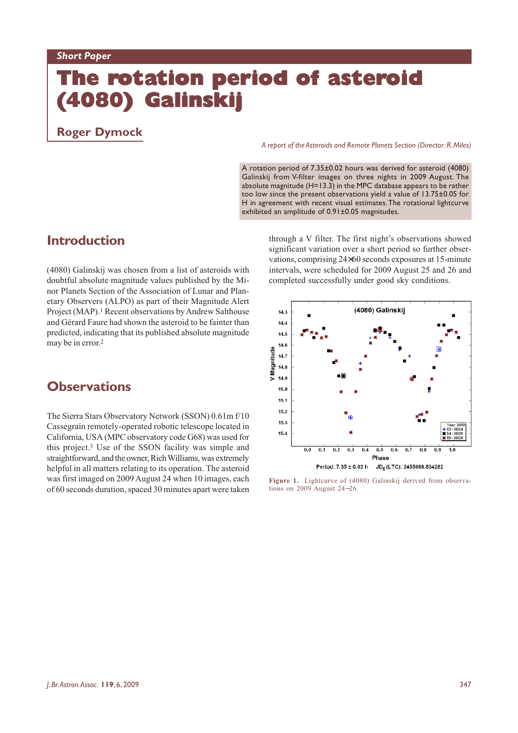# **The rotation period of asteroid (4080) Galinskij (4080) (4080)**

## **Roger Dymock**

#### *A report of the Asteroids and Remote Planets Section (Director: R. Miles)*

A rotation period of 7.35±0.02 hours was derived for asteroid (4080) Galinskij from V-filter images on three nights in 2009 August. The absolute magnitude ( $H=13.3$ ) in the MPC database appears to be rather too low since the present observations yield a value of 13.75±0.05 for H in agreement with recent visual estimates. The rotational lightcurve exhibited an amplitude of 0.91±0.05 magnitudes.

# **Introduction**

(4080) Galinskij was chosen from a list of asteroids with doubtful absolute magnitude values published by the Minor Planets Section of the Association of Lunar and Planetary Observers (ALPO) as part of their Magnitude Alert Project (MAP).<sup>1</sup> Recent observations by Andrew Salthouse and Gérard Faure had shown the asteroid to be fainter than predicted, indicating that its published absolute magnitude may be in error.2

## **Observations**

The Sierra Stars Observatory Network (SSON) 0.61m f/10 Cassegrain remotely-operated robotic telescope located in California, USA (MPC observatory code G68) was used for this project.3 Use of the SSON facility was simple and straightforward, and the owner, Rich Williams, was extremely helpful in all matters relating to its operation. The asteroid was first imaged on 2009 August 24 when 10 images, each of 60 seconds duration, spaced 30 minutes apart were taken

through a V filter. The first night's observations showed significant variation over a short period so further observations, comprising 24×60 seconds exposures at 15-minute intervals, were scheduled for 2009 August 25 and 26 and completed successfully under good sky conditions.



**Figure 1.** Lightcurve of (4080) Galinskij derived from observations on 2009 August 24−26.